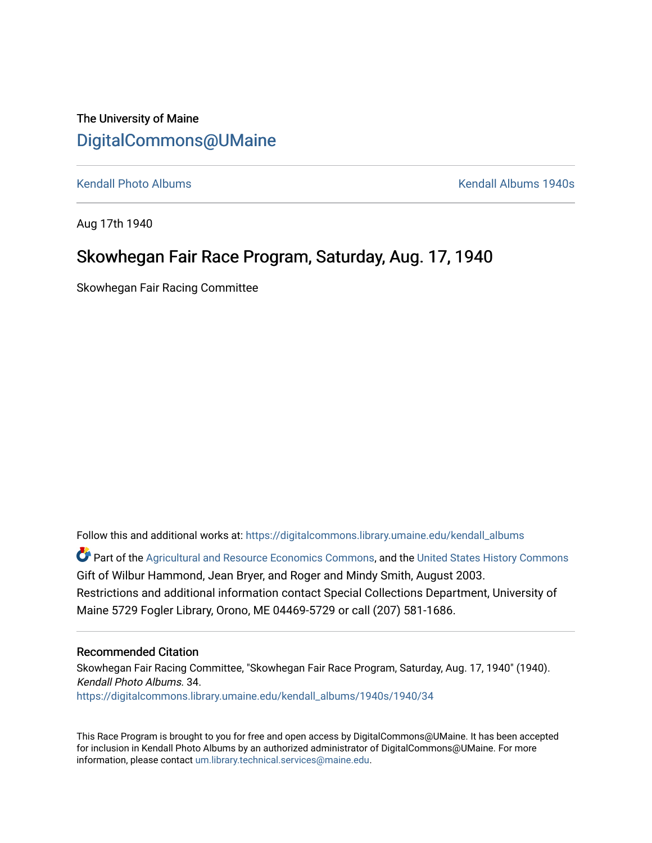The University of Maine [DigitalCommons@UMaine](https://digitalcommons.library.umaine.edu/)

[Kendall Photo Albums](https://digitalcommons.library.umaine.edu/kendall_albums) **Kendall Albums 1940s Kendall Albums 1940s** 

Aug 17th 1940

### Skowhegan Fair Race Program, Saturday, Aug. 17, 1940

Skowhegan Fair Racing Committee

Follow this and additional works at: [https://digitalcommons.library.umaine.edu/kendall\\_albums](https://digitalcommons.library.umaine.edu/kendall_albums?utm_source=digitalcommons.library.umaine.edu%2Fkendall_albums%2F1940s%2F1940%2F34&utm_medium=PDF&utm_campaign=PDFCoverPages) 

**C** Part of the [Agricultural and Resource Economics Commons,](http://network.bepress.com/hgg/discipline/317?utm_source=digitalcommons.library.umaine.edu%2Fkendall_albums%2F1940s%2F1940%2F34&utm_medium=PDF&utm_campaign=PDFCoverPages) and the [United States History Commons](http://network.bepress.com/hgg/discipline/495?utm_source=digitalcommons.library.umaine.edu%2Fkendall_albums%2F1940s%2F1940%2F34&utm_medium=PDF&utm_campaign=PDFCoverPages) Gift of Wilbur Hammond, Jean Bryer, and Roger and Mindy Smith, August 2003. Restrictions and additional information contact Special Collections Department, University of Maine 5729 Fogler Library, Orono, ME 04469-5729 or call (207) 581-1686.

#### Recommended Citation

Skowhegan Fair Racing Committee, "Skowhegan Fair Race Program, Saturday, Aug. 17, 1940" (1940). Kendall Photo Albums. 34. [https://digitalcommons.library.umaine.edu/kendall\\_albums/1940s/1940/34](https://digitalcommons.library.umaine.edu/kendall_albums/1940s/1940/34?utm_source=digitalcommons.library.umaine.edu%2Fkendall_albums%2F1940s%2F1940%2F34&utm_medium=PDF&utm_campaign=PDFCoverPages)

This Race Program is brought to you for free and open access by DigitalCommons@UMaine. It has been accepted for inclusion in Kendall Photo Albums by an authorized administrator of DigitalCommons@UMaine. For more information, please contact [um.library.technical.services@maine.edu](mailto:um.library.technical.services@maine.edu).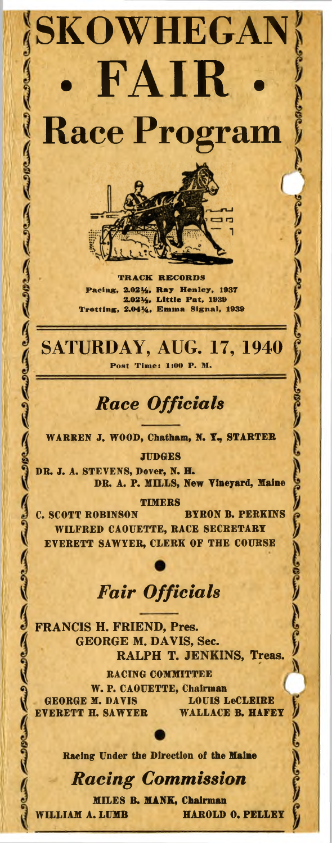**SKOWHEGAN • FAIR . Race Program**

> **TRACK RECORDS Pacing, 2.021/2, Ray Henley, 1937 2.021/2, Little Pat, 1939 Trotting, 2.041/4, Emma Signal, 1939**

**SATURDAY, AUG. 17, 1940 Post Time: 1:00 P. M.**

## *Race Officials*

**WARREN J. WOOD, Chatham, N. Y., STARTER**

**JUDGES**

**DR. J. A. STEVENS, Dover, N. H. DR. A. P. MILLS, New Vineyard, Maine**

**TIMERS**

**C. SCOTT ROBINSON BYRON B. PERKINS WILFRED CAOUETTE, RACE SECRETARY EVERETT SAWYER, CLERK OF THE COURSE**

# *Fair Officials*

**FRANCIS H. FRIEND, Pres. GEORGE M. DAVIS, Sec. RALPH T. JENKINS, Treas.**

**RACING COMMITTEE W. P. CAOUETTE, Chairman GEORGE M. DAVIS LOUIS LeCLEIRE EVERETT H. SAWYER WALLACE B. HAFEY**

**Racing Under the Direction of the Maine**

## *Racing Commission*

**MILES B. MANK, Chairman**

**WILLIAM A. LUMB HAROLD O. PELLEY**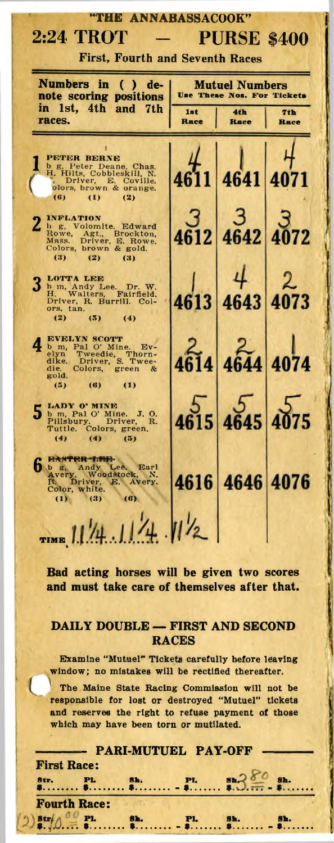| "THE ANNABASSACOOK"                                                                                           |                                              |                    |             |
|---------------------------------------------------------------------------------------------------------------|----------------------------------------------|--------------------|-------------|
| 2:24 TROT<br><b>PURSE \$400</b>                                                                               |                                              |                    |             |
| <b>First, Fourth and Seventh Races</b>                                                                        |                                              |                    |             |
| Numbers in<br>de-<br>C<br>D<br>note scoring positions                                                         | Mutuel Numbers<br>Use These Nos. For Tickets |                    |             |
| in<br>1st, 4th and<br>7th<br>races.<br>___                                                                    | 1st<br>Race                                  | 4th<br><b>Hace</b> | 7th<br>Race |
|                                                                                                               |                                              |                    |             |
| PETER BERNE<br>b g, Peter Deane. Chas.<br>H. Hilts, Cobbleskill, N.                                           |                                              |                    |             |
| Driver, E. Coville.<br>olors, brown & orange.<br>(6)<br>$\mathbf{u}$<br>(2)                                   |                                              | 641                | 4           |
| <b>INFLATION</b><br>b g, Volomite. Edward                                                                     |                                              |                    |             |
| Agt., Brockton,<br>Driver, E. Rowe.<br>Rowe,<br>Mass.<br>Colors, brown & gold.                                |                                              | 4642               |             |
| (3)<br>(2)<br>63)                                                                                             |                                              |                    |             |
| <b>LOTTA LEE</b><br>b m, Andy Lee. Dr. W.<br>H. Walters, Fairfield.                                           |                                              |                    |             |
| Driver, R. Burrill. Col-<br>ors, tan.<br>(2)<br>(5)<br>(4)                                                    |                                              |                    |             |
| <b>EVELYN SCOTT</b>                                                                                           |                                              |                    |             |
| b m, Pal O' Mine. Ev-<br>Tweedie, Thorn-<br>Driver, S. Twee-<br>Colors, green &<br>elyn<br>dike.              |                                              | 644                | 4074        |
| Colors,<br>die.<br>gold,<br>(5)<br>(6)<br>$\left(1\right)$                                                    |                                              |                    |             |
| LADY O' MINE<br>5                                                                                             |                                              |                    |             |
| b m, Pal O' Mine. J. O.<br>Pillsbury. Driver, R.<br>Tuttle. Colors, green.                                    |                                              |                    |             |
| (4)<br>(4)<br>(5)                                                                                             |                                              |                    |             |
| 日本分子配置 五四十<br>b B, Andy Lee. Earl Avery, Woodstock, N. R. Driver, E. Avery.                                   |                                              |                    | 407         |
| Color, white.<br>(1)<br>(3)<br>(6)                                                                            | 16                                           | 4646               |             |
|                                                                                                               |                                              |                    |             |
| TIME $11/4.11/4$ $11/2$                                                                                       |                                              |                    |             |
| Bad acting horses will be given two scores                                                                    |                                              |                    |             |
| and must take care of themselves after that.                                                                  |                                              |                    |             |
|                                                                                                               |                                              |                    |             |
| DAILY DOUBLE - FIRST AND SECOND<br><b>RACES</b>                                                               |                                              |                    |             |
| <b>Examine "Mutuel" Tickets carefully before leaving</b><br>window; no mistakes will be rectified thereafter. |                                              |                    |             |
| The Maine State Racing Commission will not be                                                                 |                                              |                    |             |
| responsible for lost or destroyed "Mutuel" tickets<br>and reserves the right to refuse payment of those       |                                              |                    |             |
| which may have been torn or mutilated.                                                                        |                                              |                    |             |
| <b>PARI-MUTUEL PAY-OFF</b><br><b>First Race:</b>                                                              |                                              |                    |             |
| $$ \$h. Pl. $\frac{1}{2}$ \$h.                                                                                |                                              |                    |             |

**Fourth Race: Str. \$. <sup>P</sup>l. \$***...............*

**Sh.**

**\$.......................**

**Pl. \$***.............*

**Sh. \$...............-**

**Sh. \$...............**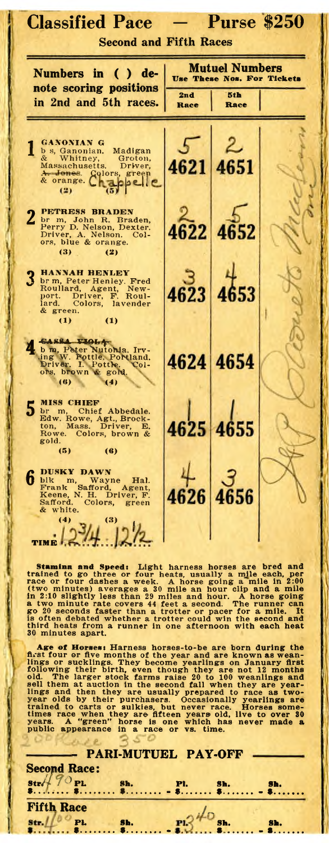| <b>Classified Pace</b><br><b>Second and Fifth Races</b>                                                                                                                                                                                                                                               |                                                     | <b>Purse \$250</b> |  |
|-------------------------------------------------------------------------------------------------------------------------------------------------------------------------------------------------------------------------------------------------------------------------------------------------------|-----------------------------------------------------|--------------------|--|
| Numbers in ( ) de-                                                                                                                                                                                                                                                                                    | <b>Mutuel Numbers</b><br>Use These Nos. For Tickets |                    |  |
| note scoring positions<br>in 2nd and 5th races.                                                                                                                                                                                                                                                       | 2 <sub>n</sub> d<br>Race                            | 5th<br>Race        |  |
| <b>GANONIAN G</b><br>b s, Ganonian.<br>Madigan<br>&<br>Whitney,<br>Groton,<br>Massachusetts.<br>Driver,<br>A Jones.<br>Colors, green<br>& orange.<br><b>elle</b><br>(2)                                                                                                                               | 4621                                                |                    |  |
| <b>PETRESS BRADEN</b><br>$\mathbf{2}$<br>br m, John R. Braden,<br>Perry D. Nelson, Dexter.<br>Driver, A. Nelson.<br>Col-<br>ors, blue & orange.<br>(3)<br>(2)                                                                                                                                         |                                                     |                    |  |
| <b>HANNAH HENLEY</b><br>br m, Peter Henley, Fred<br>Roullard, Agent, New-<br>port, Driver, F. Roul-<br>lard<br>Colors, lavender<br>lard.<br>& green.<br>$\left(1\right)$<br>(1)                                                                                                                       | 4623                                                |                    |  |
| CASSA VIOLA<br>b m, Peter Nutonia. Irv-<br>ing W. Pottle, Portland.<br>Driver. I. Pottle. Col-<br>ors, brown & gold.<br>(4)<br>$(\mathbf{6})$                                                                                                                                                         |                                                     | 4624 4654          |  |
| <b>MISS CHIEF</b><br>br m,<br>Chief Abbedale.<br>Edw. Rowe, Agt., Brock-<br>Mass. Driver,<br>E.<br>ton,<br>Rowe. Colors, brown &<br>gold.<br>(5)<br>(6)                                                                                                                                               |                                                     |                    |  |
| DUSKY DAWN<br>6<br>blk m, Wayne Hal.<br>Frank Safford, Agent,<br>Keene, N. H. Driver, F.<br>Safford.<br>Colors, green<br>& white.<br>(4)<br>(3)<br>$\sim$<br><b>Security</b><br> 2/2                                                                                                                  |                                                     |                    |  |
| <b>TIME</b><br>Stamina and Speed: Light harness horses are bred and<br>stamma and speed the or four heats, usually a mile each, per creating to go three or four heats, usually a mile each, per race or four dashes a week. A horse going a mile in 2:00 (two minutes) averages a 30 mile an hour cl |                                                     |                    |  |

go 20 seconds faster than a trotter or pacer for a mile. It<br>is often debated whether a trotter could win the second and<br>third heats from a runner in one afternoon with each heat<br>30 minutes apart.

Age of Horses: Harness horses-to-be are born during the<br>first four or five months of the year and are known as wean-<br>lings or sucklings. They become yearlings on January first<br>following their birth, even though they are no

| lings and then they are usually prepared to race as two-                                                                                                                                                                                                                                                                                                                       |  |
|--------------------------------------------------------------------------------------------------------------------------------------------------------------------------------------------------------------------------------------------------------------------------------------------------------------------------------------------------------------------------------|--|
| year olds by their purchasers. Occasionally yearlings are<br>trained to carts or sulkies, but never race. Horses some-                                                                                                                                                                                                                                                         |  |
| times race when they are fifteen years old, live to over 30                                                                                                                                                                                                                                                                                                                    |  |
| years. A "green" horse is one which has never made a                                                                                                                                                                                                                                                                                                                           |  |
| public appearance in a race or vs. time.                                                                                                                                                                                                                                                                                                                                       |  |
|                                                                                                                                                                                                                                                                                                                                                                                |  |
| - PARI-MUTUEL PAY-OFF                                                                                                                                                                                                                                                                                                                                                          |  |
|                                                                                                                                                                                                                                                                                                                                                                                |  |
| <b>Second Race:</b>                                                                                                                                                                                                                                                                                                                                                            |  |
| $\text{Str}\left(\begin{array}{c} 70 \text{ } \text{PL} \\ 70 \text{ } \text{PL} \end{array}\right)$ sh. $\text{PL}$ sh. $\text{Sh}$ , $\text{Sh}$ , $\text{Sh}$ , $\text{Sh}$ , $\text{Sh}$ , $\text{Sh}$ , $\text{Sh}$ , $\text{Sh}$ , $\text{Sh}$ , $\text{Sh}$ , $\text{Sh}$ , $\text{Sh}$ , $\text{Sh}$ , $\text{Sh}$ , $\text{Sh}$ , $\text{Sh}$ , $\text{Sh}$ , $\text$ |  |
|                                                                                                                                                                                                                                                                                                                                                                                |  |
|                                                                                                                                                                                                                                                                                                                                                                                |  |
| <b>Fifth Race</b>                                                                                                                                                                                                                                                                                                                                                              |  |
|                                                                                                                                                                                                                                                                                                                                                                                |  |
|                                                                                                                                                                                                                                                                                                                                                                                |  |
| $\frac{\text{str.}1100 \text{ p}}{\text{s}}$ sh. $\frac{\text{F1}}{\text{s}}$ sh. $\frac{\text{Br.}}{\text{s}}$                                                                                                                                                                                                                                                                |  |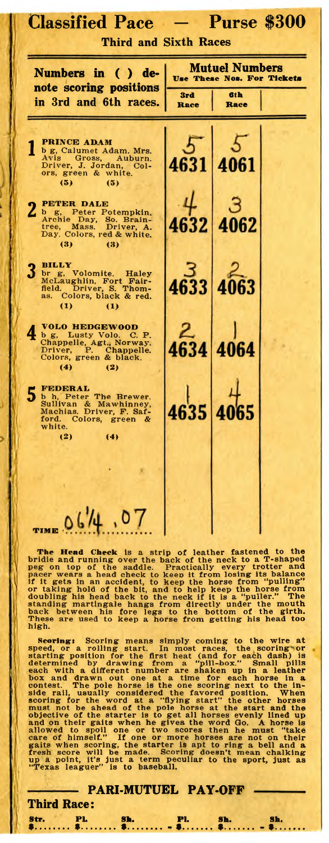| <b>Classified Pace</b><br>- Purse \$300<br><b>Third and Sixth Races</b>                                                                      |                                                     |             |  |
|----------------------------------------------------------------------------------------------------------------------------------------------|-----------------------------------------------------|-------------|--|
| Numbers in ( ) de-                                                                                                                           | <b>Mutuel Numbers</b><br>Use These Nos. For Tickets |             |  |
| note scoring positions<br>in 3rd and 6th races.                                                                                              | 3rd<br>Race                                         | 6th<br>Race |  |
| <b>PRINCE ADAM</b><br>b g, Calumet Adam. Mrs.<br>Avis Gross, Auburn.<br>Driver, J. Jordan, Col-<br>ors, green & white.<br>(5)<br>(5)         |                                                     |             |  |
| <b>PETER DALE</b><br>b g, Peter Potempkin.<br>Archie Day, So. Brain-<br>tree, Mass. Driver, A.<br>Day. Colors, red & white.<br>(3)<br>(3)    |                                                     | 62          |  |
| BILLY<br>br g, Volomite. Haley<br>McLaughlin, Fort Fair-<br>field. Driver, S. Thom-<br>as. Colors, black & red.<br>$\bf{u}$<br>(1)           |                                                     |             |  |
| <b>VOLO HEDGEWOOD</b><br>b g, Lusty Volo. C. P.<br>Chappelle, Agt., Norway.<br>Driver, P. Chappelle.<br>Colors, green & black.<br>(4)<br>(2) | 34                                                  |             |  |
| 5 FEDERAL<br>b h, Peter The Brewer.<br>Sullivan & Mawhinney,<br>Machias. Driver, F. Saf-<br>ford. Colors, green &<br>white.<br>(2)<br>(4)    |                                                     |             |  |
| $T_{\text{MHE}}$ 06/4,                                                                                                                       |                                                     |             |  |

The Head Check is a strip of leather fastened to the<br>bridle and running over the back of the neck to a T-shaped<br>peg on top of the saddle. Practically every trotter and<br>pacer wears a head check to keep it from losing its ba high.

Secring: Scoring means simply coming to the wire at speed, or a rolling start. In most races, the scoring or starting position for the first heat (and for each dash) is determined by drawing from a "pill-box." Small pills

**- PARI-MUTUEL PAY-OFF**

**Pl. \$...............** **Sh. \$............... -** **Sh. \$...............**

**Third Race:**

**PL \$..................** **Sh. \$..................-**

**Str. \$..................**

J

5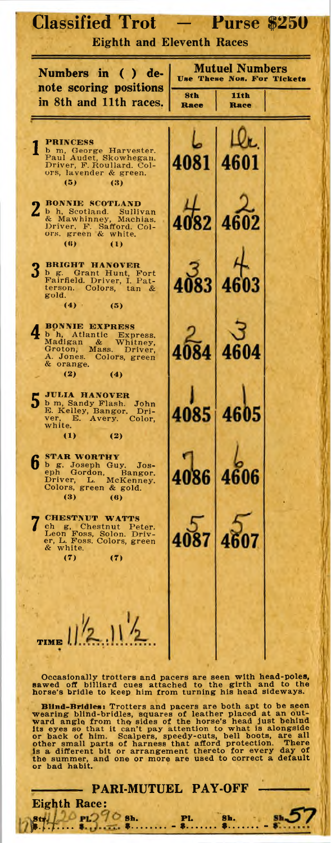| <b>Classified Trot</b><br><b>Eighth and Eleventh Races</b>                                                                                                          |            | <b>Purse \$250</b>                                                 |  |
|---------------------------------------------------------------------------------------------------------------------------------------------------------------------|------------|--------------------------------------------------------------------|--|
| Numbers in ( ) de-<br>note scoring positions                                                                                                                        | <b>Sth</b> | <b>Mutuel Numbers</b><br><b>Use These Nos. For Tickets</b><br>11th |  |
| in 8th and 11th races.                                                                                                                                              | Race       | Race                                                               |  |
| <b>PRINCESS</b><br>b m, George Harvester.<br>Paul Audet, Skowhegan.<br>Driver, F. Roullard. Col-<br>ors, lavender & green.<br>(5)<br>(3)                            |            | д                                                                  |  |
| <b>BONNIE SCOTLAND</b><br>b h, Scotland. Sullivan<br>& Mawhinney, Machias.<br>Driver, F. Safford. Col-<br>ors, green & white.<br>(6)<br>(1)                         |            |                                                                    |  |
| <b>BRIGHT HANOVER</b><br>b g. Grant Hunt, Fort<br>Fairfield. Driver, I. Pat-<br>terson. Colors, tan &<br>gold.<br>(4)<br>(5)                                        |            |                                                                    |  |
| <b>BONNIE EXPRESS</b><br>b h, Atlantic Express.<br>Madigan &<br>Madigan & Whitney,<br>Groton, Mass. Driver,<br>A. Jones. Colors, green<br>& orange.<br>(2)<br>(4)   |            | 46 <sub>1</sub>                                                    |  |
| <b>JULIA HANOVER</b><br>b m, Sandy Flash. John E. Kelley, Bangor. Driver, E. Avery. Color,<br>white.<br>$\bf{1}$<br>(2)                                             | 4085       | 4605                                                               |  |
| <b>STAR WORTHY</b><br>b B. Joseph Guy. Jos-<br>eph Gordon, Bangor.<br>Driver, L. McKenney.<br>Driver, L. McKenn<br>Colors, green & gold.<br>(3)<br>$\left(6\right)$ | 4086       |                                                                    |  |
| <b>CHESTNUT WATTS</b><br>ch g, Chestnut Peter.<br>Leon Foss, Solon. Driv-<br>er, L. Foss. Colors, green<br>& white.<br>(7)<br>(7)                                   |            | 4087 4607                                                          |  |
| 1/2.11/2                                                                                                                                                            |            |                                                                    |  |

Occasionally trotters and pacers are seen with head-poles, sawed off billiard cues attached to the girth and to the horse's bridle to keep him from turning his head sideways.

Blind-Bridles: Trotters and pacers are both apt to be seen<br>wearing blind-bridles, equares of leather placed at an out-<br>ward angle from the sides of the horse's head just behind<br>its eyes so that it can't pay attention to wh

**- PARI-MUTUEL PAY-OFF —**

Eighth Race:<br>  $\begin{array}{ll}\n\text{St}_1 & \text{PL} \\
\text{St}_2 & \text{PL} \\
\text{St}_3 & \text{PL} \\
\text{St}_4 & \text{St}_3 & \text{St}_4 \\
\text{St}_5 & \text{St}_6 & \text{St}_6 \\
\text{St}_6 & \text{St}_6 & \text{St}_6 \\
\text{St}_7 & \text{St}_7 & \text{St}_7 & \text{St}_7 \\
\text{St}_8 & \text{St}_9 & \text{St}_9 & \text{St}_9 \\
\text{St}_9 & \text{St}_9 & \text{St}_9 & \text{St}_9 & \text{St}_9 \\
\text{St}_$